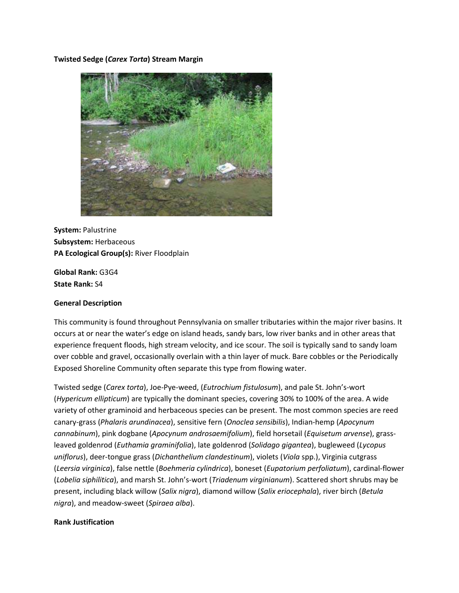#### **Twisted Sedge (***Carex Torta***) Stream Margin**



**System:** Palustrine **Subsystem:** Herbaceous **PA Ecological Group(s):** River Floodplain

**Global Rank:** G3G4 **State Rank:** S4

#### **General Description**

This community is found throughout Pennsylvania on smaller tributaries within the major river basins. It occurs at or near the water's edge on island heads, sandy bars, low river banks and in other areas that experience frequent floods, high stream velocity, and ice scour. The soil is typically sand to sandy loam over cobble and gravel, occasionally overlain with a thin layer of muck. Bare cobbles or the Periodically Exposed Shoreline Community often separate this type from flowing water.

Twisted sedge (*Carex torta*), Joe-Pye-weed, (*Eutrochium fistulosum*), and pale St. John's-wort (*Hypericum ellipticum*) are typically the dominant species, covering 30% to 100% of the area. A wide variety of other graminoid and herbaceous species can be present. The most common species are reed canary-grass (*Phalaris arundinacea*), sensitive fern (*Onoclea sensibilis*), Indian-hemp (*Apocynum cannabinum*), pink dogbane (*Apocynum androsaemifolium*), field horsetail (*Equisetum arvense*), grassleaved goldenrod (*Euthamia graminifolia*), late goldenrod (*Solidago gigantea*), bugleweed (*Lycopus uniflorus*), deer-tongue grass (*Dichanthelium clandestinum*), violets (*Viola* spp.), Virginia cutgrass (*Leersia virginica*), false nettle (*Boehmeria cylindrica*), boneset (*Eupatorium perfoliatum*), cardinal-flower (*Lobelia siphilitica*), and marsh St. John's-wort (*Triadenum virginianum*). Scattered short shrubs may be present, including black willow (*Salix nigra*), diamond willow (*Salix eriocephala*), river birch (*Betula nigra*), and meadow-sweet (*Spiraea alba*).

#### **Rank Justification**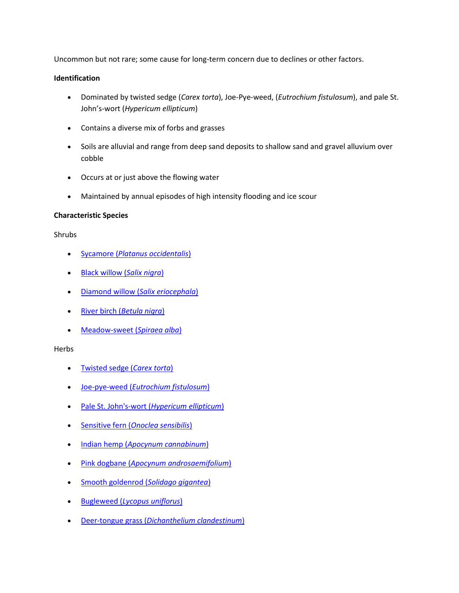Uncommon but not rare; some cause for long-term concern due to declines or other factors.

#### **Identification**

- Dominated by twisted sedge (*Carex torta*), Joe-Pye-weed, (*Eutrochium fistulosum*), and pale St. John's-wort (*Hypericum ellipticum*)
- Contains a diverse mix of forbs and grasses
- Soils are alluvial and range from deep sand deposits to shallow sand and gravel alluvium over cobble
- Occurs at or just above the flowing water
- Maintained by annual episodes of high intensity flooding and ice scour

## **Characteristic Species**

#### Shrubs

- Sycamore (*[Platanus occidentalis](http://www.natureserve.org/explorer/servlet/NatureServe?searchName=Platanus+occidentalis)*)
- [Black willow \(](http://www.natureserve.org/explorer/servlet/NatureServe?searchName=Salix+nigra)*Salix nigra*)
- [Diamond willow \(](http://www.natureserve.org/explorer/servlet/NatureServe?searchName=Salix+eriocephala)*Salix eriocephala*)
- River birch (*[Betula nigra](http://www.natureserve.org/explorer/servlet/NatureServe?searchName=Betula+nigra)*)
- [Meadow-sweet \(](http://www.natureserve.org/explorer/servlet/NatureServe?searchName=Spiraea+alba)*Spiraea alba*)

#### Herbs

- [Twisted sedge \(](http://www.natureserve.org/explorer/servlet/NatureServe?searchName=Carex+torta)*Carex torta*)
- Joe-pye-weed (*[Eutrochium fistulosum](http://www.natureserve.org/explorer/servlet/NatureServe?searchName=Eupatorium+fistulosum)*)
- Pale St. John's-wort (*[Hypericum ellipticum](http://www.natureserve.org/explorer/servlet/NatureServe?searchName=Hypericum+ellipticum)*)
- Sensitive fern (*[Onoclea sensibilis](http://www.natureserve.org/explorer/servlet/NatureServe?searchName=Onoclea+sensibilis)*)
- Indian hemp (*[Apocynum cannabinum](http://www.natureserve.org/explorer/servlet/NatureServe?searchName=Apocynum+cannabinum)*)
- Pink dogbane (*[Apocynum androsaemifolium](http://www.natureserve.org/explorer/servlet/NatureServe?searchName=Apocynum+androsaemifolium)*)
- [Smooth goldenrod \(](http://www.natureserve.org/explorer/servlet/NatureServe?searchName=Solidago+gigantea)*Solidago gigantea*)
- Bugleweed (*[Lycopus uniflorus](http://www.natureserve.org/explorer/servlet/NatureServe?searchName=Lycopus+uniflorus)*)
- Deer-tongue grass (*[Dichanthelium clandestinum](http://www.natureserve.org/explorer/servlet/NatureServe?searchName=Dichanthelium+clandestinum)*)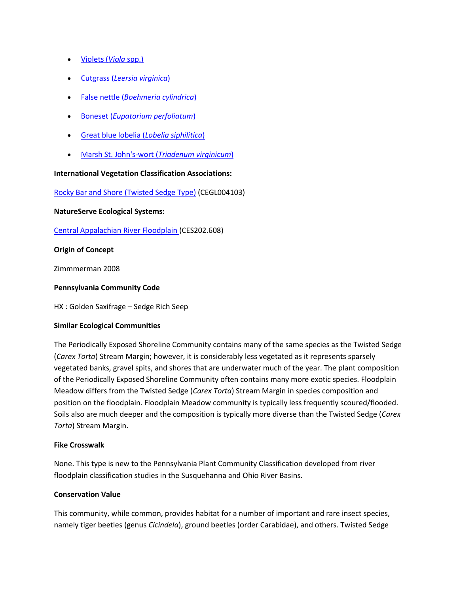- [Violets \(](http://www.natureserve.org/explorer/servlet/NatureServe?searchSciOrCommonName=viola)*Viola* spp.)
- Cutgrass (*[Leersia virginica](http://www.natureserve.org/explorer/servlet/NatureServe?searchName=Leersia+virginica)*)
- False nettle (*[Boehmeria cylindrica](http://www.natureserve.org/explorer/servlet/NatureServe?searchName=Boehmeria+cylindrica)*)
- Boneset (*[Eupatorium perfoliatum](http://www.natureserve.org/explorer/servlet/NatureServe?searchName=Eupatorium+perfoliatum)*)
- [Great blue lobelia \(](http://www.natureserve.org/explorer/servlet/NatureServe?searchName=Lobelia+siphilitica)*Lobelia siphilitica*)
- [Marsh St. John's-wort \(](http://www.natureserve.org/explorer/servlet/NatureServe?searchName=Triadenum+virginicum)*Triadenum virginicum*)

# **International Vegetation Classification Associations:**

[Rocky Bar and Shore \(Twisted Sedge Type\)](http://www.natureserve.org/explorer/servlet/NatureServe?searchCommunityUid=ELEMENT_GLOBAL.2.688863) (CEGL004103)

**NatureServe Ecological Systems:**

[Central Appalachian River Floodplain \(](http://www.natureserve.org/explorer/servlet/NatureServe?searchSystemUid=ELEMENT_GLOBAL.2.723001)CES202.608)

# **Origin of Concept**

Zimmmerman 2008

## **Pennsylvania Community Code**

HX : Golden Saxifrage – Sedge Rich Seep

## **Similar Ecological Communities**

The Periodically Exposed Shoreline Community contains many of the same species as the Twisted Sedge (*Carex Torta*) Stream Margin; however, it is considerably less vegetated as it represents sparsely vegetated banks, gravel spits, and shores that are underwater much of the year. The plant composition of the Periodically Exposed Shoreline Community often contains many more exotic species. Floodplain Meadow differs from the Twisted Sedge (*Carex Torta*) Stream Margin in species composition and position on the floodplain. Floodplain Meadow community is typically less frequently scoured/flooded. Soils also are much deeper and the composition is typically more diverse than the Twisted Sedge (*Carex Torta*) Stream Margin.

## **Fike Crosswalk**

None. This type is new to the Pennsylvania Plant Community Classification developed from river floodplain classification studies in the Susquehanna and Ohio River Basins.

## **Conservation Value**

This community, while common, provides habitat for a number of important and rare insect species, namely tiger beetles (genus *Cicindela*), ground beetles (order Carabidae), and others. Twisted Sedge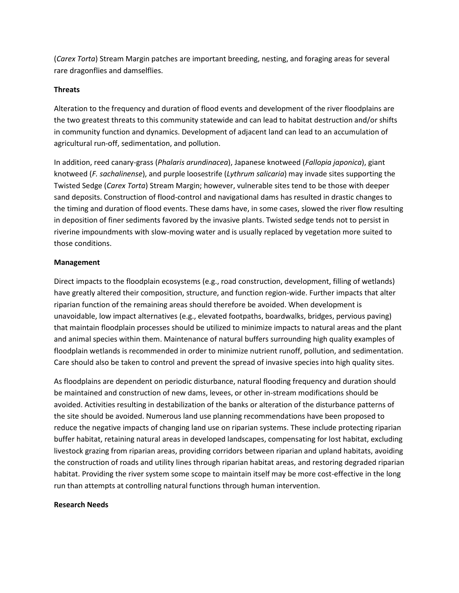(*Carex Torta*) Stream Margin patches are important breeding, nesting, and foraging areas for several rare dragonflies and damselflies.

## **Threats**

Alteration to the frequency and duration of flood events and development of the river floodplains are the two greatest threats to this community statewide and can lead to habitat destruction and/or shifts in community function and dynamics. Development of adjacent land can lead to an accumulation of agricultural run-off, sedimentation, and pollution.

In addition, reed canary-grass (*Phalaris arundinacea*), Japanese knotweed (*Fallopia japonica*), giant knotweed (*F. sachalinense*), and purple loosestrife (*Lythrum salicaria*) may invade sites supporting the Twisted Sedge (*Carex Torta*) Stream Margin; however, vulnerable sites tend to be those with deeper sand deposits. Construction of flood-control and navigational dams has resulted in drastic changes to the timing and duration of flood events. These dams have, in some cases, slowed the river flow resulting in deposition of finer sediments favored by the invasive plants. Twisted sedge tends not to persist in riverine impoundments with slow-moving water and is usually replaced by vegetation more suited to those conditions.

## **Management**

Direct impacts to the floodplain ecosystems (e.g., road construction, development, filling of wetlands) have greatly altered their composition, structure, and function region-wide. Further impacts that alter riparian function of the remaining areas should therefore be avoided. When development is unavoidable, low impact alternatives (e.g., elevated footpaths, boardwalks, bridges, pervious paving) that maintain floodplain processes should be utilized to minimize impacts to natural areas and the plant and animal species within them. Maintenance of natural buffers surrounding high quality examples of floodplain wetlands is recommended in order to minimize nutrient runoff, pollution, and sedimentation. Care should also be taken to control and prevent the spread of invasive species into high quality sites.

As floodplains are dependent on periodic disturbance, natural flooding frequency and duration should be maintained and construction of new dams, levees, or other in-stream modifications should be avoided. Activities resulting in destabilization of the banks or alteration of the disturbance patterns of the site should be avoided. Numerous land use planning recommendations have been proposed to reduce the negative impacts of changing land use on riparian systems. These include protecting riparian buffer habitat, retaining natural areas in developed landscapes, compensating for lost habitat, excluding livestock grazing from riparian areas, providing corridors between riparian and upland habitats, avoiding the construction of roads and utility lines through riparian habitat areas, and restoring degraded riparian habitat. Providing the river system some scope to maintain itself may be more cost-effective in the long run than attempts at controlling natural functions through human intervention.

## **Research Needs**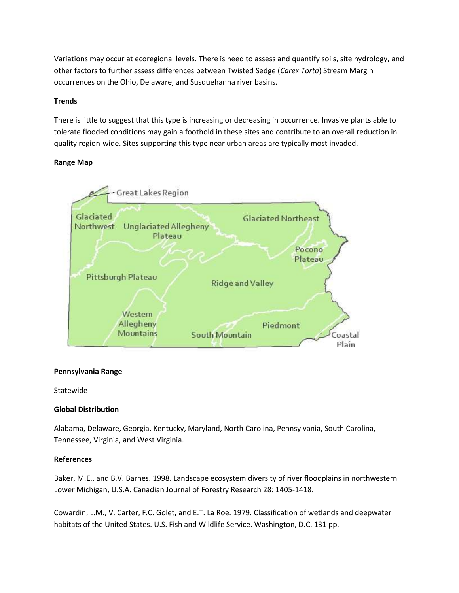Variations may occur at ecoregional levels. There is need to assess and quantify soils, site hydrology, and other factors to further assess differences between Twisted Sedge (*Carex Torta*) Stream Margin occurrences on the Ohio, Delaware, and Susquehanna river basins.

# **Trends**

There is little to suggest that this type is increasing or decreasing in occurrence. Invasive plants able to tolerate flooded conditions may gain a foothold in these sites and contribute to an overall reduction in quality region-wide. Sites supporting this type near urban areas are typically most invaded.

## **Range Map**



## **Pennsylvania Range**

Statewide

## **Global Distribution**

Alabama, Delaware, Georgia, Kentucky, Maryland, North Carolina, Pennsylvania, South Carolina, Tennessee, Virginia, and West Virginia.

## **References**

Baker, M.E., and B.V. Barnes. 1998. Landscape ecosystem diversity of river floodplains in northwestern Lower Michigan, U.S.A. Canadian Journal of Forestry Research 28: 1405-1418.

Cowardin, L.M., V. Carter, F.C. Golet, and E.T. La Roe. 1979. Classification of wetlands and deepwater habitats of the United States. U.S. Fish and Wildlife Service. Washington, D.C. 131 pp.